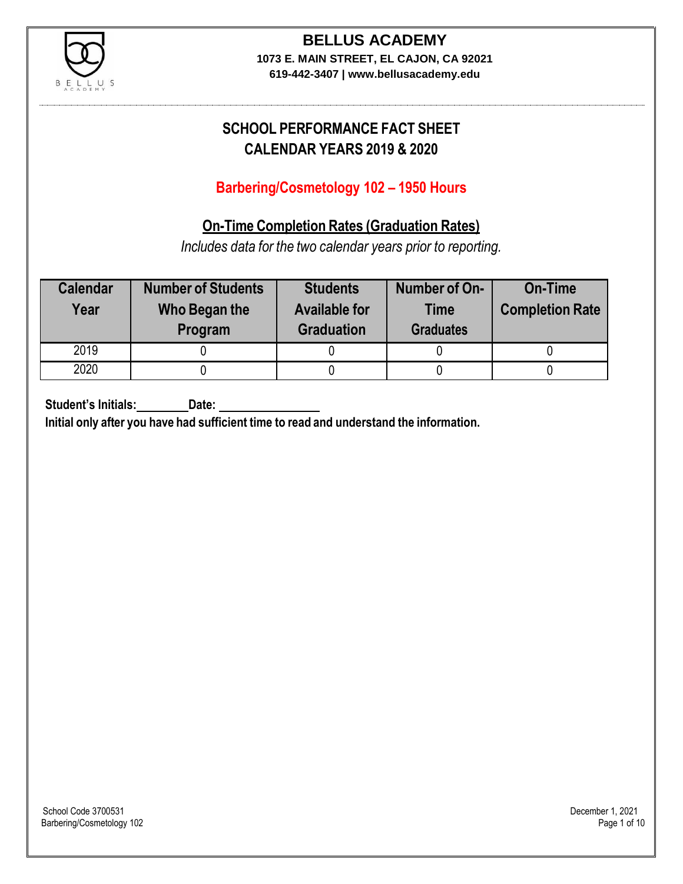

**619-442-3407 | www.bellusacademy.edu**

# **SCHOOL PERFORMANCE FACT SHEET CALENDAR YEARS 2019 & 2020**

# **Barbering/Cosmetology 102 – 1950 Hours**

# **On-Time Completion Rates (Graduation Rates)**

*Includes data for the two calendar years prior to reporting.*

| <b>Calendar</b><br>Year | <b>Number of Students</b><br>Who Began the<br>Program | <b>Students</b><br><b>Available for</b><br><b>Graduation</b> | Number of On-<br><b>Time</b><br><b>Graduates</b> | <b>On-Time</b><br><b>Completion Rate</b> |
|-------------------------|-------------------------------------------------------|--------------------------------------------------------------|--------------------------------------------------|------------------------------------------|
| 2019                    |                                                       |                                                              |                                                  |                                          |
| 2020                    |                                                       |                                                              |                                                  |                                          |

**Student's Initials: Date:**

**Initial only after you have had sufficient time to read and understand the information.**

School Code 3700531 December 1, 2021<br>Barbering/Cosmetology 102 Page 1 of 10 Barbering/Cosmetology 102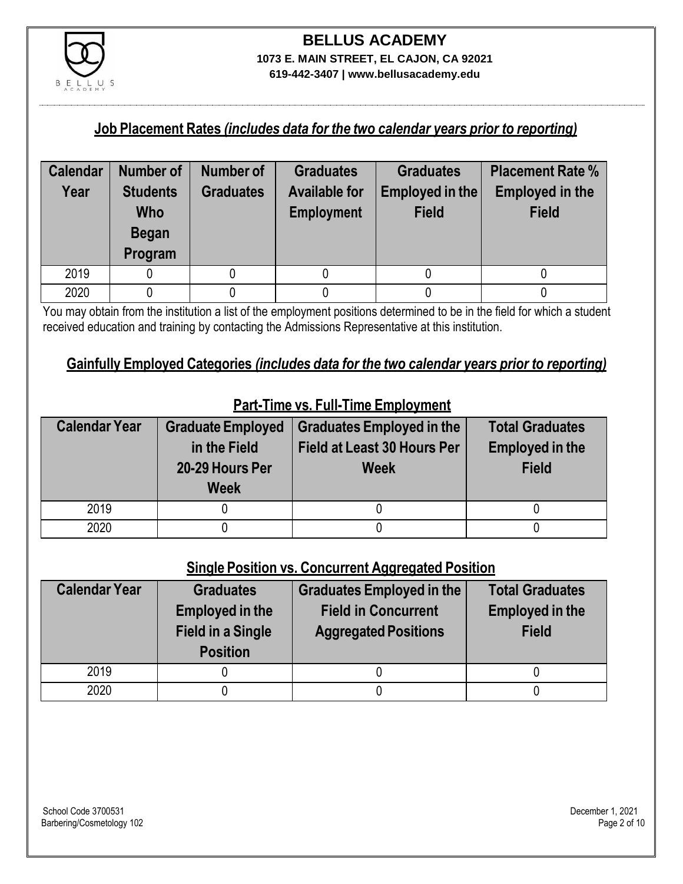

**619-442-3407 | www.bellusacademy.edu**

### **Job Placement Rates** *(includes data for the two calendar years prior to reporting)*

| <b>Calendar</b> | Number of                                                | <b>Number of</b> | <b>Graduates</b>                          | <b>Graduates</b>                | <b>Placement Rate %</b>                |
|-----------------|----------------------------------------------------------|------------------|-------------------------------------------|---------------------------------|----------------------------------------|
| Year            | <b>Students</b><br><b>Who</b><br><b>Began</b><br>Program | <b>Graduates</b> | <b>Available for</b><br><b>Employment</b> | Employed in the<br><b>Field</b> | <b>Employed in the</b><br><b>Field</b> |
| 2019            |                                                          |                  |                                           |                                 |                                        |
| 2020            |                                                          |                  |                                           |                                 |                                        |

You may obtain from the institution a list of the employment positions determined to be in the field for which a student received education and training by contacting the Admissions Representative at this institution.

### **Gainfully Employed Categories** *(includes data for the two calendar years prior to reporting)*

| <b>Calendar Year</b> | <b>Graduate Employed</b><br>in the Field<br>20-29 Hours Per<br><b>Week</b> | <b>Graduates Employed in the</b><br><b>Field at Least 30 Hours Per</b><br><b>Week</b> | <b>Total Graduates</b><br><b>Employed in the</b><br><b>Field</b> |
|----------------------|----------------------------------------------------------------------------|---------------------------------------------------------------------------------------|------------------------------------------------------------------|
| 2019                 |                                                                            |                                                                                       |                                                                  |
| 2020                 |                                                                            |                                                                                       |                                                                  |

# **Part-Time vs. Full-Time Employment**

### **Single Position vs. Concurrent Aggregated Position**

| <b>Calendar Year</b> | <b>Graduates</b><br><b>Employed in the</b><br><b>Field in a Single</b><br><b>Position</b> | Graduates Employed in the<br><b>Field in Concurrent</b><br><b>Aggregated Positions</b> | <b>Total Graduates</b><br><b>Employed in the</b><br><b>Field</b> |
|----------------------|-------------------------------------------------------------------------------------------|----------------------------------------------------------------------------------------|------------------------------------------------------------------|
| 2019                 |                                                                                           |                                                                                        |                                                                  |
| 2020                 |                                                                                           |                                                                                        |                                                                  |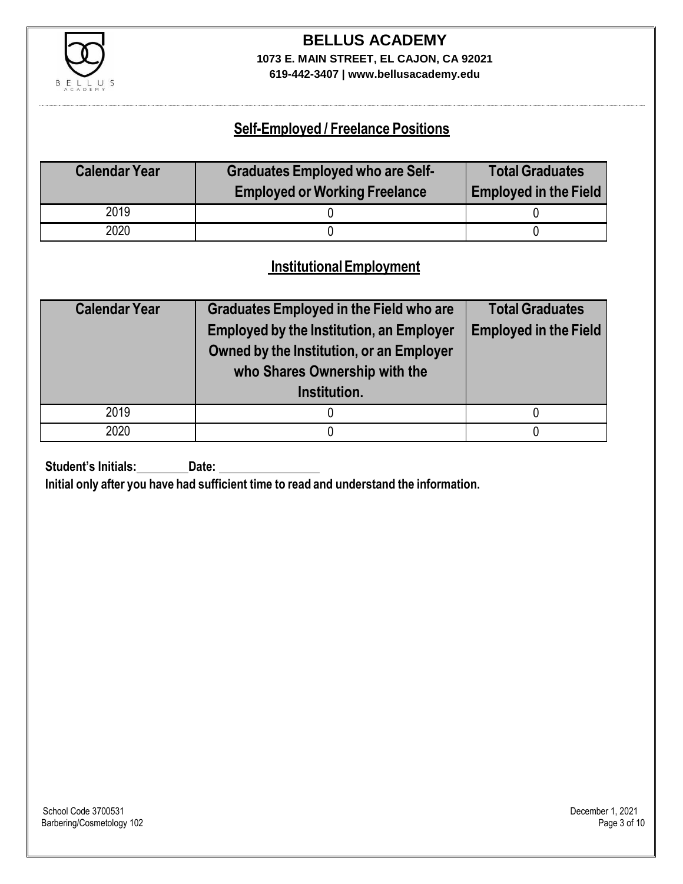

**619-442-3407 | www.bellusacademy.edu**

### **Self-Employed / Freelance Positions**

| <b>Calendar Year</b> | <b>Graduates Employed who are Self-</b><br><b>Employed or Working Freelance</b> | <b>Total Graduates</b><br><b>Employed in the Field</b> |
|----------------------|---------------------------------------------------------------------------------|--------------------------------------------------------|
| 2019                 |                                                                                 |                                                        |
| 2020                 |                                                                                 |                                                        |

### **InstitutionalEmployment**

| <b>Calendar Year</b> | <b>Graduates Employed in the Field who are</b><br><b>Employed by the Institution, an Employer</b><br>Owned by the Institution, or an Employer<br>who Shares Ownership with the<br>Institution. | <b>Total Graduates</b><br><b>Employed in the Field</b> |
|----------------------|------------------------------------------------------------------------------------------------------------------------------------------------------------------------------------------------|--------------------------------------------------------|
| 2019                 |                                                                                                                                                                                                |                                                        |
| 2020                 |                                                                                                                                                                                                |                                                        |

**Student's Initials:** Date:

**Initial only after you have had sufficient time to read and understand the information.**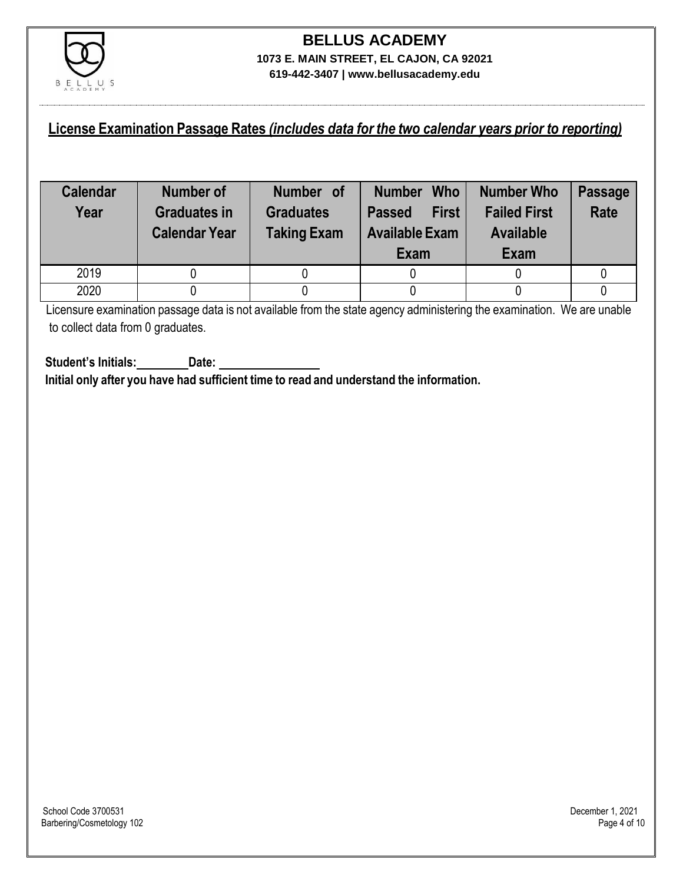

### **License Examination Passage Rates** *(includes data for the two calendar years prior to reporting)*

| <b>Calendar</b><br>Year | <b>Number of</b><br><b>Graduates in</b><br><b>Calendar Year</b> | Number of<br><b>Graduates</b><br><b>Taking Exam</b> | <b>Who</b><br><b>Number</b><br><b>First</b><br><b>Passed</b><br><b>Available Exam</b><br>Exam | <b>Number Who</b><br><b>Failed First</b><br><b>Available</b><br>Exam | <b>Passage</b><br><b>Rate</b> |
|-------------------------|-----------------------------------------------------------------|-----------------------------------------------------|-----------------------------------------------------------------------------------------------|----------------------------------------------------------------------|-------------------------------|
| 2019                    |                                                                 |                                                     |                                                                                               |                                                                      |                               |
| 2020                    |                                                                 |                                                     |                                                                                               |                                                                      |                               |

Licensure examination passage data is not available from the state agency administering the examination. We are unable to collect data from 0 graduates.

**Student's Initials: Date: Initial only after you have had sufficient time to read and understand the information.**

School Code 3700531 December 1, 2021<br>Barbering/Cosmetology 102 Page 4 of 10 Barbering/Cosmetology 102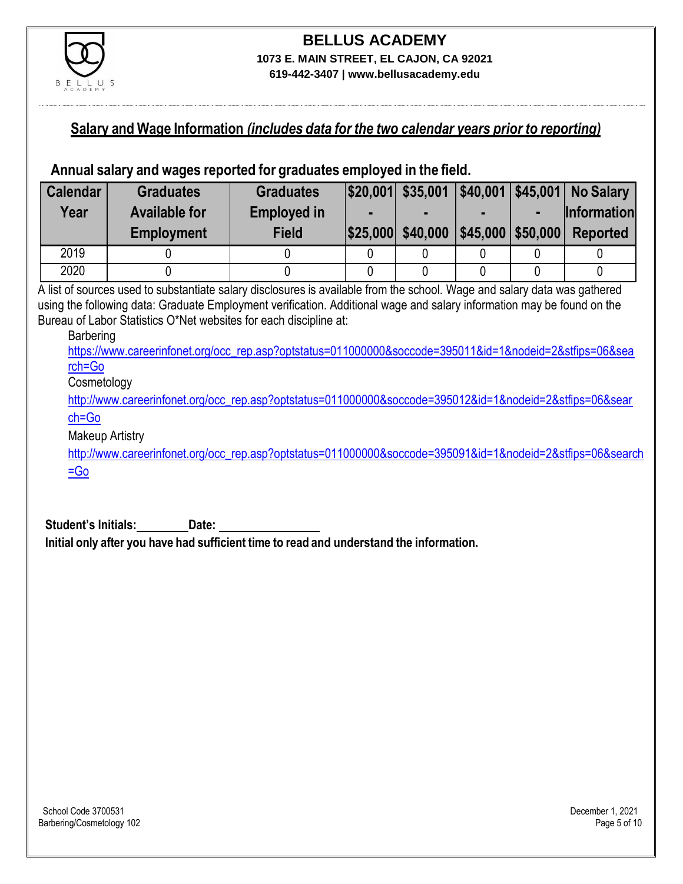

### **Salary and Wage Information** *(includes data for the two calendar years prior to reporting)*

### **Annual salary and wages reported for graduates employed in the field.**

| <b>Calendar</b> | <b>Graduates</b>     | <b>Graduates</b>   |                                     |  | $ $20,001 $ \$35,001 $ $40,001 $45,001 $ No Salary |
|-----------------|----------------------|--------------------|-------------------------------------|--|----------------------------------------------------|
| Year            | <b>Available for</b> | <b>Employed in</b> |                                     |  | <b>Information</b>                                 |
|                 | <b>Employment</b>    | <b>Field</b>       | \$25,000 \$40,000 \$45,000 \$50,000 |  | <b>Reported</b>                                    |
| 2019            |                      |                    |                                     |  |                                                    |
| 2020            |                      |                    |                                     |  |                                                    |

A list of sources used to substantiate salary disclosures is available from the school. Wage and salary data was gathered using the following data: Graduate Employment verification. Additional wage and salary information may be found on the Bureau of Labor Statistics O\*Net websites for each discipline at:

#### Barbering

[https://www.careerinfonet.org/occ\\_rep.asp?optstatus=011000000&soccode=395011&id=1&nodeid=2&stfips=06&sea](https://www.careerinfonet.org/occ_rep.asp?optstatus=011000000&soccode=395011&id=1&nodeid=2&stfips=06&search=Go) [rch=Go](https://www.careerinfonet.org/occ_rep.asp?optstatus=011000000&soccode=395011&id=1&nodeid=2&stfips=06&search=Go)

#### **Cosmetology**

[http://www.careerinfonet.org/occ\\_rep.asp?optstatus=011000000&soccode=395012&id=1&nodeid=2&stfips=06&sear](http://www.careerinfonet.org/occ_rep.asp?optstatus=011000000&soccode=395012&id=1&nodeid=2&stfips=06&search=Go) [ch=Go](http://www.careerinfonet.org/occ_rep.asp?optstatus=011000000&soccode=395012&id=1&nodeid=2&stfips=06&search=Go)

#### Makeup Artistry

[http://www.careerinfonet.org/occ\\_rep.asp?optstatus=011000000&soccode=395091&id=1&nodeid=2&stfips=06&search](http://www.careerinfonet.org/occ_rep.asp?optstatus=011000000&soccode=395091&id=1&nodeid=2&stfips=06&search=Go) [=Go](http://www.careerinfonet.org/occ_rep.asp?optstatus=011000000&soccode=395091&id=1&nodeid=2&stfips=06&search=Go)

**Student's Initials: Date: Initial only after you have had sufficient time to read and understand the information.**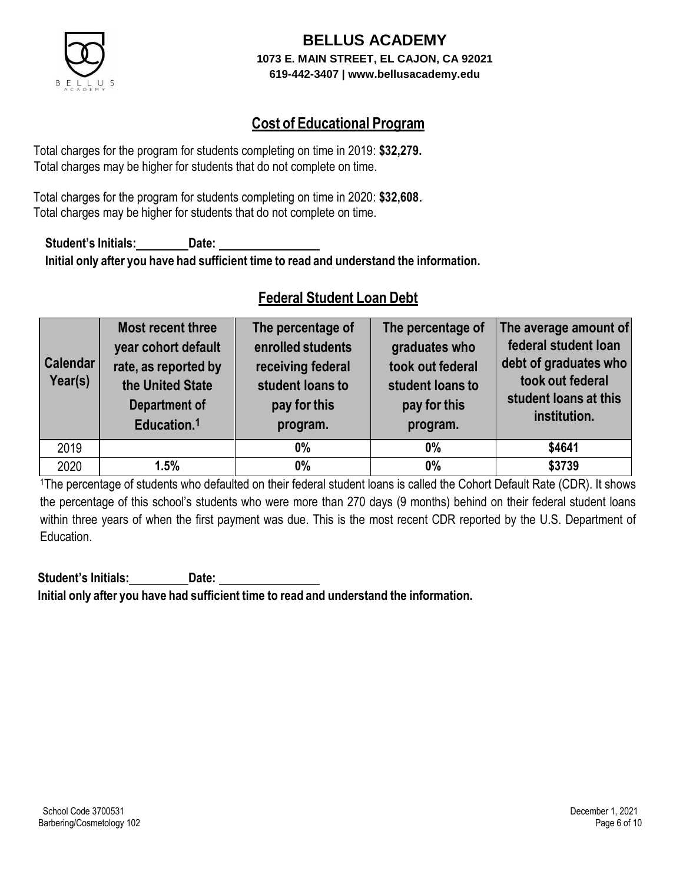

### **Cost of Educational Program**

Total charges for the program for students completing on time in 2019: **\$32,279.** Total charges may be higher for students that do not complete on time.

Total charges for the program for students completing on time in 2020: **\$32,608.** Total charges may be higher for students that do not complete on time.

**Student's Initials: Date: Initial only after you have had sufficient time to read and understand the information.**

# **Federal Student Loan Debt**

| <b>Calendar</b><br>Year(s) | <b>Most recent three</b><br>year cohort default<br>rate, as reported by<br>the United State<br><b>Department of</b><br>Education. <sup>1</sup> | The percentage of<br>enrolled students<br>receiving federal<br>student loans to<br>pay for this<br>program. | The percentage of<br>graduates who<br>took out federal<br>student loans to<br>pay for this<br>program. | The average amount of<br>federal student loan<br>debt of graduates who<br>took out federal<br>student loans at this<br>institution. |
|----------------------------|------------------------------------------------------------------------------------------------------------------------------------------------|-------------------------------------------------------------------------------------------------------------|--------------------------------------------------------------------------------------------------------|-------------------------------------------------------------------------------------------------------------------------------------|
| 2019                       |                                                                                                                                                | $0\%$                                                                                                       | $0\%$                                                                                                  | \$4641                                                                                                                              |
| 2020                       | 1.5%                                                                                                                                           | $0\%$                                                                                                       | 0%                                                                                                     | \$3739                                                                                                                              |

<sup>1</sup>The percentage of students who defaulted on their federal student loans is called the Cohort Default Rate (CDR). It shows the percentage of this school's students who were more than 270 days (9 months) behind on their federal student loans within three years of when the first payment was due. This is the most recent CDR reported by the U.S. Department of Education.

**Student's Initials: Date: Initial only after you have had sufficient time to read and understand the information.**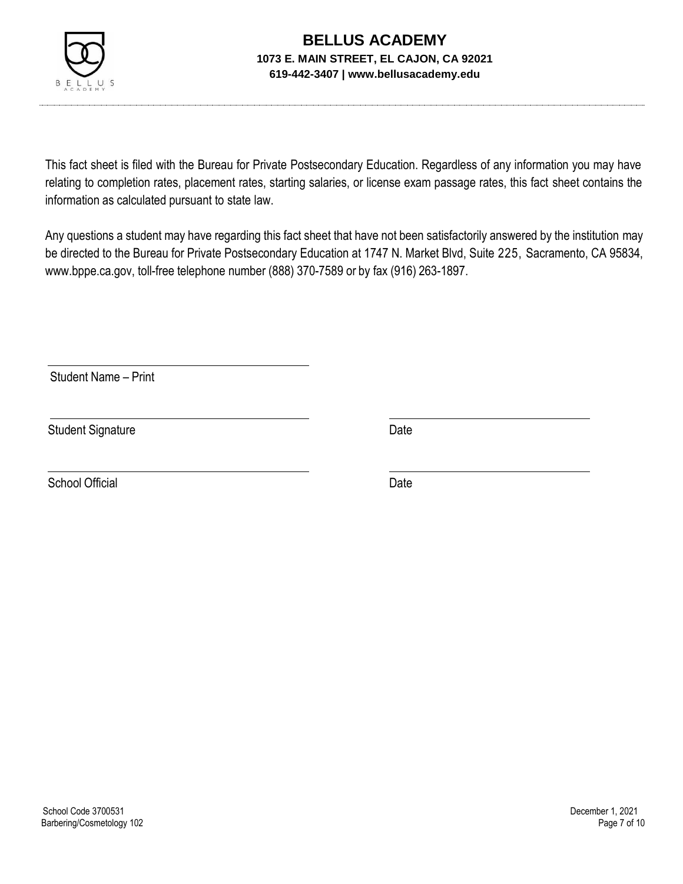

This fact sheet is filed with the Bureau for Private Postsecondary Education. Regardless of any information you may have relating to completion rates, placement rates, starting salaries, or license exam passage rates, this fact sheet contains the information as calculated pursuant to state law.

Any questions a student may have regarding this fact sheet that have not been satisfactorily answered by the institution may be directed to the Bureau for Private Postsecondary Education at 1747 N. Market Blvd, Suite 225, Sacramento, CA 95834, [www.bppe.ca.gov,](http://www.bppe.ca.gov/) toll-free telephone number (888) 370-7589 or by fax (916) 263-1897.

Student Name – Print

Student Signature Date Date

School Official Date Date Date Date Date Date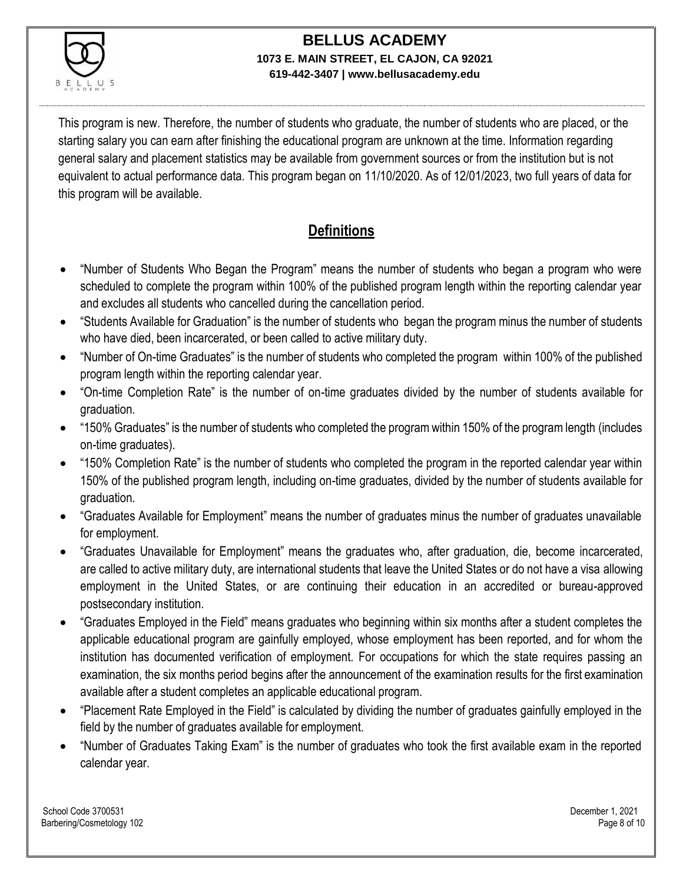

This program is new. Therefore, the number of students who graduate, the number of students who are placed, or the starting salary you can earn after finishing the educational program are unknown at the time. Information regarding general salary and placement statistics may be available from government sources or from the institution but is not equivalent to actual performance data. This program began on 11/10/2020. As of 12/01/2023, two full years of data for this program will be available.

# **Definitions**

- "Number of Students Who Began the Program" means the number of students who began a program who were scheduled to complete the program within 100% of the published program length within the reporting calendar year and excludes all students who cancelled during the cancellation period.
- "Students Available for Graduation" is the number of students who began the program minus the number of students who have died, been incarcerated, or been called to active military duty.
- "Number of On-time Graduates" is the number of students who completed the program within 100% of the published program length within the reporting calendar year.
- "On-time Completion Rate" is the number of on-time graduates divided by the number of students available for graduation.
- "150% Graduates" is the number of students who completed the program within 150% of the program length (includes on-time graduates).
- "150% Completion Rate" is the number of students who completed the program in the reported calendar year within 150% of the published program length, including on-time graduates, divided by the number of students available for graduation.
- "Graduates Available for Employment" means the number of graduates minus the number of graduates unavailable for employment.
- "Graduates Unavailable for Employment" means the graduates who, after graduation, die, become incarcerated, are called to active military duty, are international students that leave the United States or do not have a visa allowing employment in the United States, or are continuing their education in an accredited or bureau-approved postsecondary institution.
- "Graduates Employed in the Field" means graduates who beginning within six months after a student completes the applicable educational program are gainfully employed, whose employment has been reported, and for whom the institution has documented verification of employment. For occupations for which the state requires passing an examination, the six months period begins after the announcement of the examination results for the first examination available after a student completes an applicable educational program.
- "Placement Rate Employed in the Field" is calculated by dividing the number of graduates gainfully employed in the field by the number of graduates available for employment.
- "Number of Graduates Taking Exam" is the number of graduates who took the first available exam in the reported calendar year.

School Code 3700531 December 1, 2021 Barbering/Cosmetology 102 **Page 8 of 10** Page 8 of 10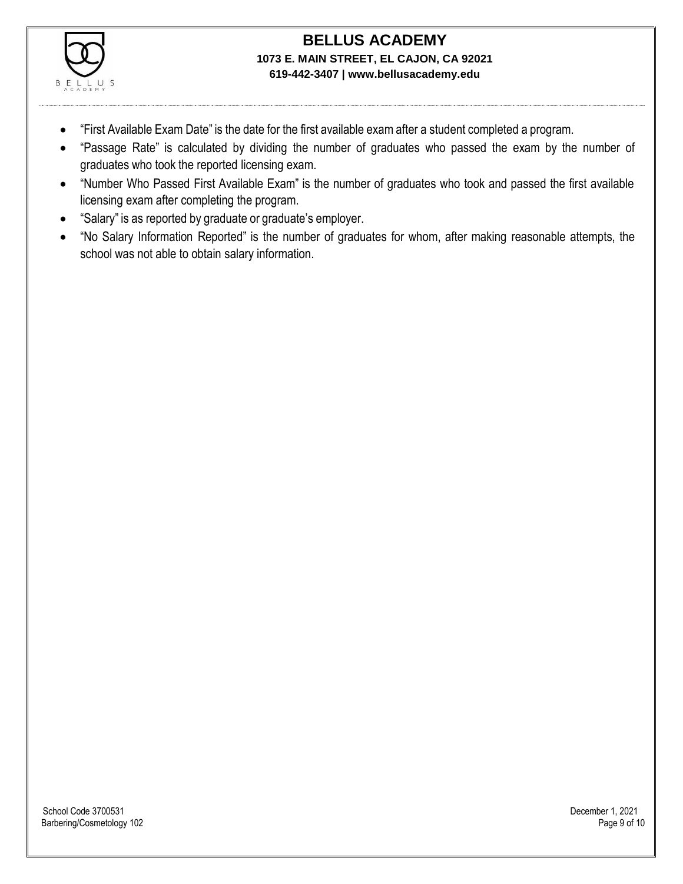

- "First Available Exam Date" is the date for the first available exam after a student completed a program.
- "Passage Rate" is calculated by dividing the number of graduates who passed the exam by the number of graduates who took the reported licensing exam.
- "Number Who Passed First Available Exam" is the number of graduates who took and passed the first available licensing exam after completing the program.
- "Salary" is as reported by graduate or graduate's employer.
- "No Salary Information Reported" is the number of graduates for whom, after making reasonable attempts, the school was not able to obtain salary information.